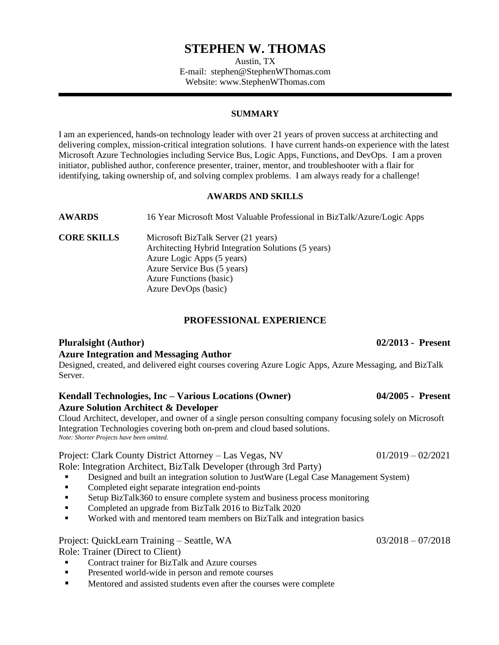# **STEPHEN W. THOMAS**

Austin, TX E-mail: stephen@StephenWThomas.com Website: www.StephenWThomas.com

#### **SUMMARY**

I am an experienced, hands-on technology leader with over 21 years of proven success at architecting and delivering complex, mission-critical integration solutions. I have current hands-on experience with the latest Microsoft Azure Technologies including Service Bus, Logic Apps, Functions, and DevOps. I am a proven initiator, published author, conference presenter, trainer, mentor, and troubleshooter with a flair for identifying, taking ownership of, and solving complex problems. I am always ready for a challenge!

#### **AWARDS AND SKILLS**

**AWARDS** 16 Year Microsoft Most Valuable Professional in BizTalk/Azure/Logic Apps

**CORE SKILLS** Microsoft BizTalk Server (21 years) Architecting Hybrid Integration Solutions (5 years) Azure Logic Apps (5 years) Azure Service Bus (5 years) Azure Functions (basic) Azure DevOps (basic)

### **PROFESSIONAL EXPERIENCE**

## **Pluralsight (Author) 02/2013 - Present Azure Integration and Messaging Author**

Designed, created, and delivered eight courses covering Azure Logic Apps, Azure Messaging, and BizTalk Server.

#### **Kendall Technologies, Inc – Various Locations (Owner) 04/2005 - Present Azure Solution Architect & Developer**

Cloud Architect, developer, and owner of a single person consulting company focusing solely on Microsoft Integration Technologies covering both on-prem and cloud based solutions. *Note: Shorter Projects have been omitted.*

Project: Clark County District Attorney – Las Vegas, NV 01/2019 – 02/2021 Role: Integration Architect, BizTalk Developer (through 3rd Party)

- Designed and built an integration solution to JustWare (Legal Case Management System)
- Completed eight separate integration end-points
- Setup BizTalk360 to ensure complete system and business process monitoring
- Completed an upgrade from BizTalk 2016 to BizTalk 2020
- Worked with and mentored team members on BizTalk and integration basics

#### Project: QuickLearn Training – Seattle, WA 03/2018 – 07/2018

Role: Trainer (Direct to Client)

- Contract trainer for BizTalk and Azure courses
- **Presented world-wide in person and remote courses**
- Mentored and assisted students even after the courses were complete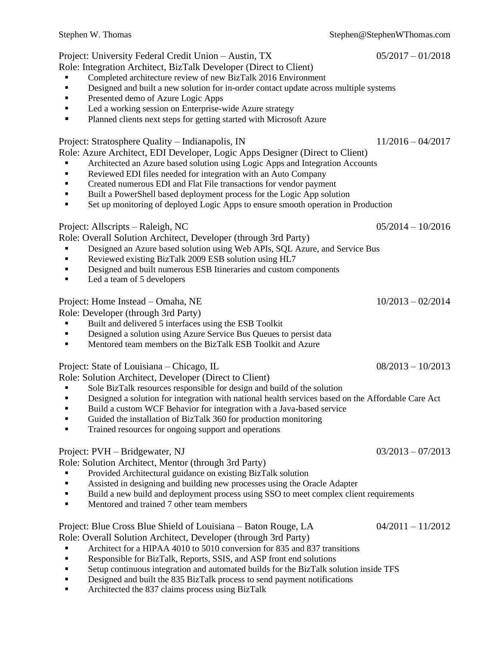## Project: University Federal Credit Union – Austin, TX 05/2017 – 01/2018

- Role: Integration Architect, BizTalk Developer (Direct to Client)
	- Completed architecture review of new BizTalk 2016 Environment
	- **•** Designed and built a new solution for in-order contact update across multiple systems
	- **Presented demo of Azure Logic Apps**
	- Led a working session on Enterprise-wide Azure strategy
	- Planned clients next steps for getting started with Microsoft Azure

## Project: Stratosphere Quality – Indianapolis, IN 11/2016 – 04/2017

Role: Azure Architect, EDI Developer, Logic Apps Designer (Direct to Client)

- Architected an Azure based solution using Logic Apps and Integration Accounts
- Reviewed EDI files needed for integration with an Auto Company
- **•** Created numerous EDI and Flat File transactions for vendor payment
- Built a PowerShell based deployment process for the Logic App solution
- Set up monitoring of deployed Logic Apps to ensure smooth operation in Production

## Project: Allscripts – Raleigh, NC  $05/2014 - 10/2016$

Role: Overall Solution Architect, Developer (through 3rd Party)

- Designed an Azure based solution using Web APIs, SQL Azure, and Service Bus
- Reviewed existing BizTalk 2009 ESB solution using HL7
- **EXP** Designed and built numerous ESB Itineraries and custom components
- Led a team of 5 developers

## Project: Home Instead – Omaha, NE  $10/2013 - 02/2014$

Role: Developer (through 3rd Party)

- Built and delivered 5 interfaces using the ESB Toolkit<br>■ Designed a solution using Azure Service Bus Ouenes to
- Designed a solution using Azure Service Bus Queues to persist data
- Mentored team members on the BizTalk ESB Toolkit and Azure

## Project: State of Louisiana – Chicago, IL 08/2013 – 10/2013

Role: Solution Architect, Developer (Direct to Client)

- Sole BizTalk resources responsible for design and build of the solution
- **Designed a solution for integration with national health services based on the Affordable Care Act**
- Build a custom WCF Behavior for integration with a Java-based service
- Guided the installation of BizTalk 360 for production monitoring
- Trained resources for ongoing support and operations

## Project: PVH – Bridgewater, NJ 03/2013 – 07/2013

Role: Solution Architect, Mentor (through 3rd Party)

- Provided Architectural guidance on existing BizTalk solution
- Assisted in designing and building new processes using the Oracle Adapter
- Build a new build and deployment process using SSO to meet complex client requirements
- **■** Mentored and trained 7 other team members

# Project: Blue Cross Blue Shield of Louisiana – Baton Rouge, LA 04/2011 – 11/2012

Role: Overall Solution Architect, Developer (through 3rd Party)

- Architect for a HIPAA 4010 to 5010 conversion for 835 and 837 transitions
- Responsible for BizTalk, Reports, SSIS, and ASP front end solutions
- Setup continuous integration and automated builds for the BizTalk solution inside TFS
- Designed and built the 835 BizTalk process to send payment notifications
- Architected the 837 claims process using BizTalk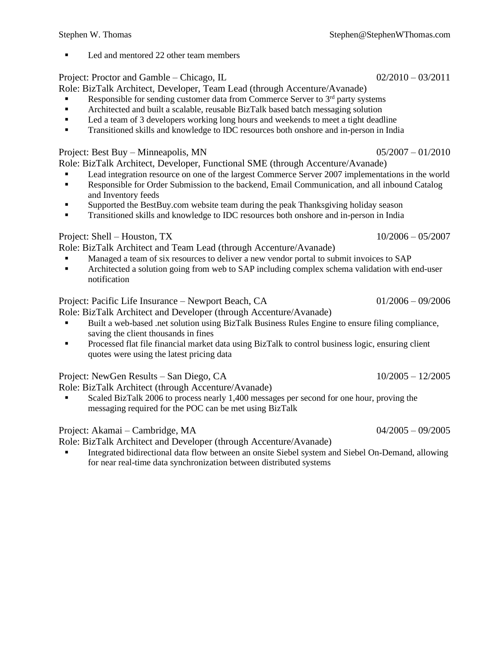Led and mentored 22 other team members

### Project: Proctor and Gamble – Chicago, IL 02/2010 – 03/2011

Role: BizTalk Architect, Developer, Team Lead (through Accenture/Avanade)

- Responsible for sending customer data from Commerce Server to  $3<sup>rd</sup>$  party systems
- Architected and built a scalable, reusable BizTalk based batch messaging solution
- Led a team of 3 developers working long hours and weekends to meet a tight deadline
- **Transitioned skills and knowledge to IDC resources both onshore and in-person in India**

### Project: Best Buy – Minneapolis, MN  $0.5/2007 - 01/2010$

Role: BizTalk Architect, Developer, Functional SME (through Accenture/Avanade)

- Lead integration resource on one of the largest Commerce Server 2007 implementations in the world<br>■ Responsible for Order Submission to the backend Email Communication, and all inbound Catalog
- Responsible for Order Submission to the backend, Email Communication, and all inbound Catalog and Inventory feeds
- Supported the BestBuy.com website team during the peak Thanksgiving holiday season
- Transitioned skills and knowledge to IDC resources both onshore and in-person in India

## Project: Shell – Houston, TX 10/2006 – 05/2007

Role: BizTalk Architect and Team Lead (through Accenture/Avanade)

- Managed a team of six resources to deliver a new vendor portal to submit invoices to SAP
- **EXECUTE:** Architected a solution going from web to SAP including complex schema validation with end-user notification

## Project: Pacific Life Insurance – Newport Beach, CA 01/2006 – 09/2006

Role: BizTalk Architect and Developer (through Accenture/Avanade)

- Built a web-based .net solution using BizTalk Business Rules Engine to ensure filing compliance, saving the client thousands in fines
- Processed flat file financial market data using BizTalk to control business logic, ensuring client quotes were using the latest pricing data

## Project: NewGen Results – San Diego, CA 10/2005 – 12/2005

Role: BizTalk Architect (through Accenture/Avanade)

Scaled BizTalk 2006 to process nearly 1,400 messages per second for one hour, proving the messaging required for the POC can be met using BizTalk

## Project: Akamai – Cambridge, MA 04/2005 – 09/2005

Role: BizTalk Architect and Developer (through Accenture/Avanade)

Integrated bidirectional data flow between an onsite Siebel system and Siebel On-Demand, allowing for near real-time data synchronization between distributed systems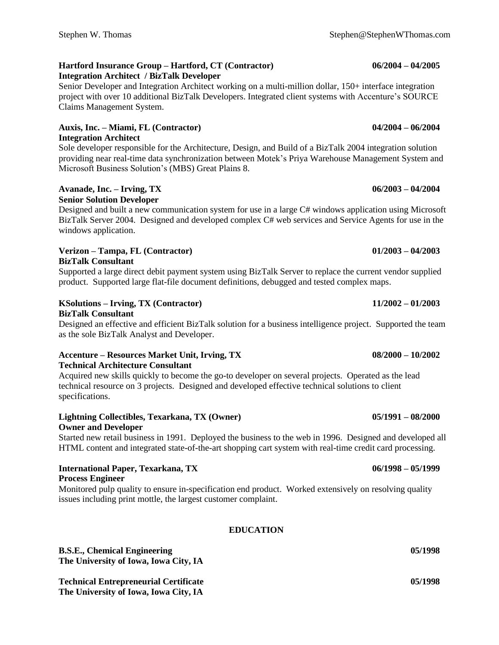#### **Hartford Insurance Group – Hartford, CT (Contractor) 06/2004 – 04/2005 Integration Architect / BizTalk Developer**

Senior Developer and Integration Architect working on a multi-million dollar, 150+ interface integration project with over 10 additional BizTalk Developers. Integrated client systems with Accenture's SOURCE Claims Management System.

### **Auxis, Inc. – Miami, FL (Contractor) 04/2004 – 06/2004 Integration Architect**

Sole developer responsible for the Architecture, Design, and Build of a BizTalk 2004 integration solution providing near real-time data synchronization between Motek's Priya Warehouse Management System and Microsoft Business Solution's (MBS) Great Plains 8.

#### **Avanade, Inc. – Irving, TX 06/2003 – 04/2004 Senior Solution Developer**

Designed and built a new communication system for use in a large C# windows application using Microsoft BizTalk Server 2004. Designed and developed complex C# web services and Service Agents for use in the windows application.

### **Verizon – Tampa, FL (Contractor) 01/2003 – 04/2003 BizTalk Consultant**

Supported a large direct debit payment system using BizTalk Server to replace the current vendor supplied product. Supported large flat-file document definitions, debugged and tested complex maps.

## **KSolutions – Irving, TX (Contractor) 11/2002 – 01/2003**

#### **BizTalk Consultant**

Designed an effective and efficient BizTalk solution for a business intelligence project. Supported the team as the sole BizTalk Analyst and Developer.

### **Accenture – Resources Market Unit, Irving, TX 08/2000 – 10/2002 Technical Architecture Consultant**

Acquired new skills quickly to become the go-to developer on several projects. Operated as the lead technical resource on 3 projects. Designed and developed effective technical solutions to client specifications.

### **Lightning Collectibles, Texarkana, TX (Owner) 05/1991 – 08/2000 Owner and Developer**

Started new retail business in 1991. Deployed the business to the web in 1996. Designed and developed all HTML content and integrated state-of-the-art shopping cart system with real-time credit card processing.

#### **International Paper, Texarkana, TX 06/1998 – 05/1999 Process Engineer**

Monitored pulp quality to ensure in-specification end product. Worked extensively on resolving quality issues including print mottle, the largest customer complaint.

## **EDUCATION**

**B.S.E., Chemical Engineering 65/1998 1998 1998 1998 1998 1998 1998 1998 1998 1998 1998 1998 1998 The University of Iowa, Iowa City, IA**

**Technical Entrepreneurial Certificate 05/1998 The University of Iowa, Iowa City, IA**